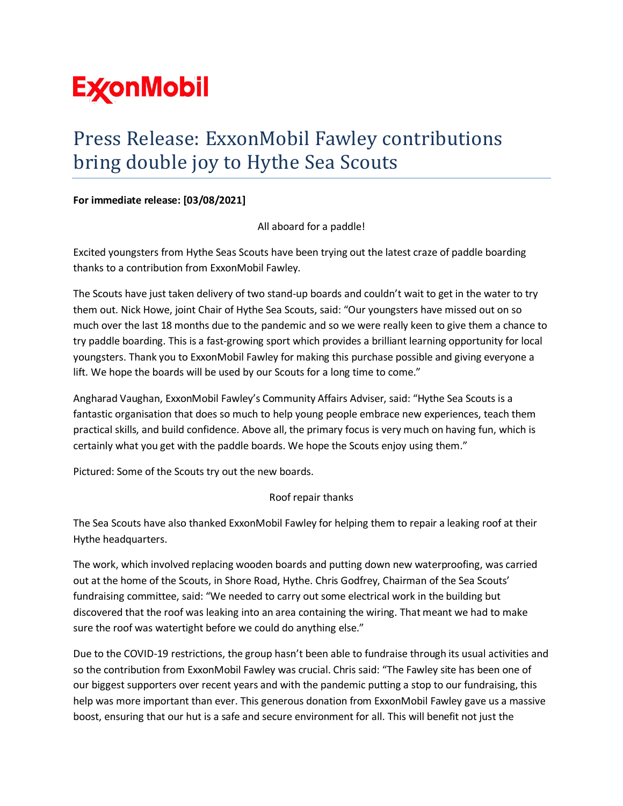

## Press Release: ExxonMobil Fawley contributions bring double joy to Hythe Sea Scouts

## **For immediate release: [03/08/2021]**

All aboard for a paddle!

Excited youngsters from Hythe Seas Scouts have been trying out the latest craze of paddle boarding thanks to a contribution from ExxonMobil Fawley.

The Scouts have just taken delivery of two stand-up boards and couldn't wait to get in the water to try them out. Nick Howe, joint Chair of Hythe Sea Scouts, said: "Our youngsters have missed out on so much over the last 18 months due to the pandemic and so we were really keen to give them a chance to try paddle boarding. This is a fast-growing sport which provides a brilliant learning opportunity for local youngsters. Thank you to ExxonMobil Fawley for making this purchase possible and giving everyone a lift. We hope the boards will be used by our Scouts for a long time to come."

Angharad Vaughan, ExxonMobil Fawley's Community Affairs Adviser, said: "Hythe Sea Scouts is a fantastic organisation that does so much to help young people embrace new experiences, teach them practical skills, and build confidence. Above all, the primary focus is very much on having fun, which is certainly what you get with the paddle boards. We hope the Scouts enjoy using them."

Pictured: Some of the Scouts try out the new boards.

## Roof repair thanks

The Sea Scouts have also thanked ExxonMobil Fawley for helping them to repair a leaking roof at their Hythe headquarters.

The work, which involved replacing wooden boards and putting down new waterproofing, was carried out at the home of the Scouts, in Shore Road, Hythe. Chris Godfrey, Chairman of the Sea Scouts' fundraising committee, said: "We needed to carry out some electrical work in the building but discovered that the roof was leaking into an area containing the wiring. That meant we had to make sure the roof was watertight before we could do anything else."

Due to the COVID-19 restrictions, the group hasn't been able to fundraise through its usual activities and so the contribution from ExxonMobil Fawley was crucial. Chris said: "The Fawley site has been one of our biggest supporters over recent years and with the pandemic putting a stop to our fundraising, this help was more important than ever. This generous donation from ExxonMobil Fawley gave us a massive boost, ensuring that our hut is a safe and secure environment for all. This will benefit not just the